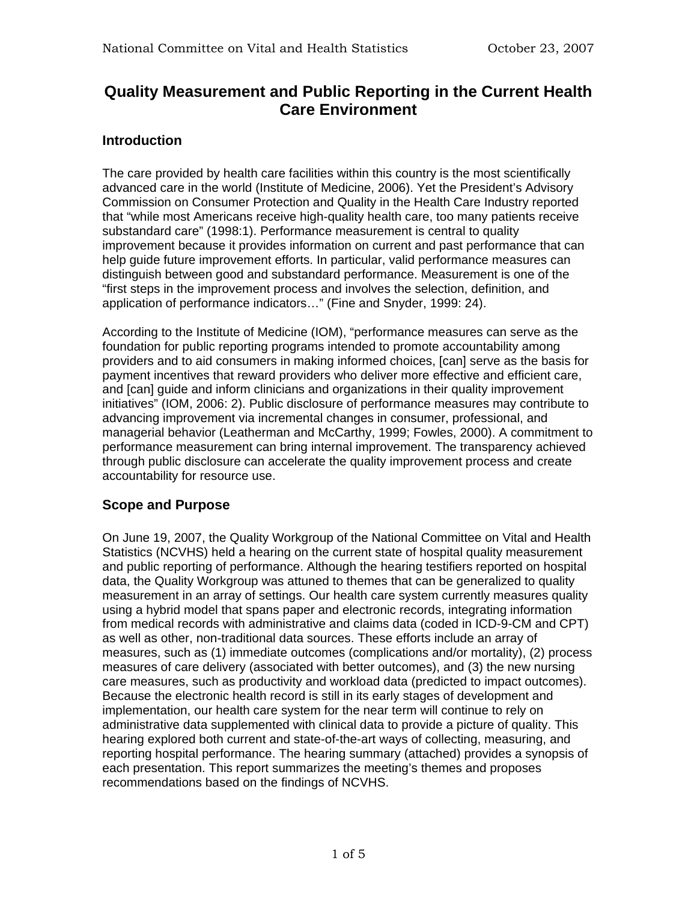# **Quality Measurement and Public Reporting in the Current Health Care Environment**

# **Introduction**

The care provided by health care facilities within this country is the most scientifically advanced care in the world (Institute of Medicine, 2006). Yet the President's Advisory Commission on Consumer Protection and Quality in the Health Care Industry reported that "while most Americans receive high-quality health care, too many patients receive substandard care" (1998:1). Performance measurement is central to quality improvement because it provides information on current and past performance that can help guide future improvement efforts. In particular, valid performance measures can distinguish between good and substandard performance. Measurement is one of the "first steps in the improvement process and involves the selection, definition, and application of performance indicators…" (Fine and Snyder, 1999: 24).

According to the Institute of Medicine (IOM), "performance measures can serve as the foundation for public reporting programs intended to promote accountability among providers and to aid consumers in making informed choices, [can] serve as the basis for payment incentives that reward providers who deliver more effective and efficient care, and [can] guide and inform clinicians and organizations in their quality improvement initiatives" (IOM, 2006: 2). Public disclosure of performance measures may contribute to advancing improvement via incremental changes in consumer, professional, and managerial behavior (Leatherman and McCarthy, 1999; Fowles, 2000). A commitment to performance measurement can bring internal improvement. The transparency achieved through public disclosure can accelerate the quality improvement process and create accountability for resource use.

### **Scope and Purpose**

On June 19, 2007, the Quality Workgroup of the National Committee on Vital and Health Statistics (NCVHS) held a hearing on the current state of hospital quality measurement and public reporting of performance. Although the hearing testifiers reported on hospital data, the Quality Workgroup was attuned to themes that can be generalized to quality measurement in an array of settings. Our health care system currently measures quality using a hybrid model that spans paper and electronic records, integrating information from medical records with administrative and claims data (coded in ICD-9-CM and CPT) as well as other, non-traditional data sources. These efforts include an array of measures, such as (1) immediate outcomes (complications and/or mortality), (2) process measures of care delivery (associated with better outcomes), and (3) the new nursing care measures, such as productivity and workload data (predicted to impact outcomes). Because the electronic health record is still in its early stages of development and implementation, our health care system for the near term will continue to rely on administrative data supplemented with clinical data to provide a picture of quality. This hearing explored both current and state-of-the-art ways of collecting, measuring, and reporting hospital performance. The hearing summary (attached) provides a synopsis of each presentation. This report summarizes the meeting's themes and proposes recommendations based on the findings of NCVHS.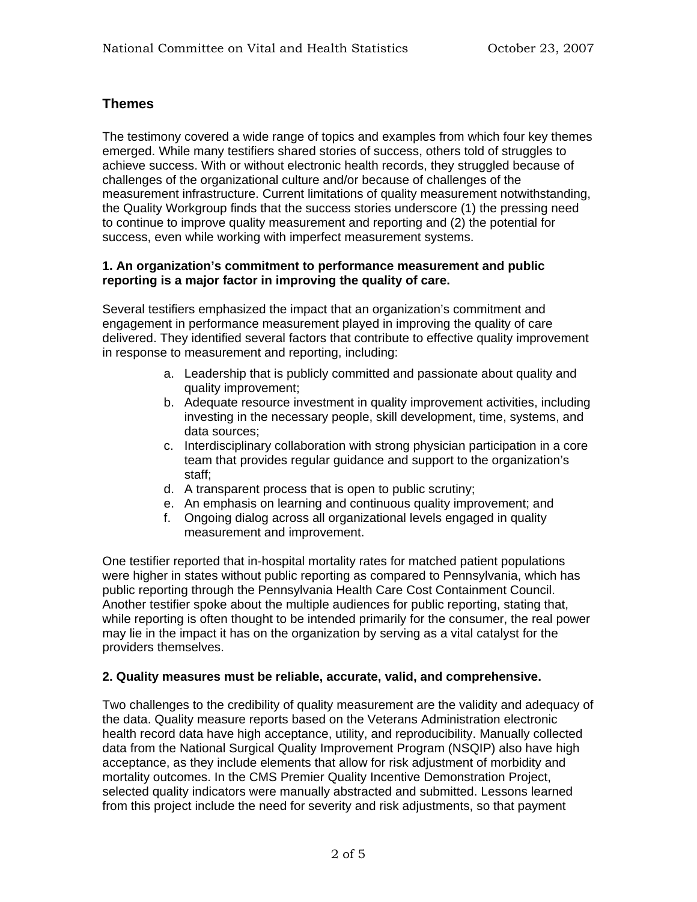## **Themes**

The testimony covered a wide range of topics and examples from which four key themes emerged. While many testifiers shared stories of success, others told of struggles to achieve success. With or without electronic health records, they struggled because of challenges of the organizational culture and/or because of challenges of the measurement infrastructure. Current limitations of quality measurement notwithstanding, the Quality Workgroup finds that the success stories underscore (1) the pressing need to continue to improve quality measurement and reporting and (2) the potential for success, even while working with imperfect measurement systems.

#### **1. An organization's commitment to performance measurement and public reporting is a major factor in improving the quality of care.**

Several testifiers emphasized the impact that an organization's commitment and engagement in performance measurement played in improving the quality of care delivered. They identified several factors that contribute to effective quality improvement in response to measurement and reporting, including:

- a. Leadership that is publicly committed and passionate about quality and quality improvement;
- b. Adequate resource investment in quality improvement activities, including investing in the necessary people, skill development, time, systems, and data sources;
- c. Interdisciplinary collaboration with strong physician participation in a core team that provides regular guidance and support to the organization's staff;
- d. A transparent process that is open to public scrutiny;
- e. An emphasis on learning and continuous quality improvement; and
- f. Ongoing dialog across all organizational levels engaged in quality measurement and improvement.

One testifier reported that in-hospital mortality rates for matched patient populations were higher in states without public reporting as compared to Pennsylvania, which has public reporting through the Pennsylvania Health Care Cost Containment Council. Another testifier spoke about the multiple audiences for public reporting, stating that, while reporting is often thought to be intended primarily for the consumer, the real power may lie in the impact it has on the organization by serving as a vital catalyst for the providers themselves.

#### **2. Quality measures must be reliable, accurate, valid, and comprehensive.**

Two challenges to the credibility of quality measurement are the validity and adequacy of the data. Quality measure reports based on the Veterans Administration electronic health record data have high acceptance, utility, and reproducibility. Manually collected data from the National Surgical Quality Improvement Program (NSQIP) also have high acceptance, as they include elements that allow for risk adjustment of morbidity and mortality outcomes. In the CMS Premier Quality Incentive Demonstration Project, selected quality indicators were manually abstracted and submitted. Lessons learned from this project include the need for severity and risk adjustments, so that payment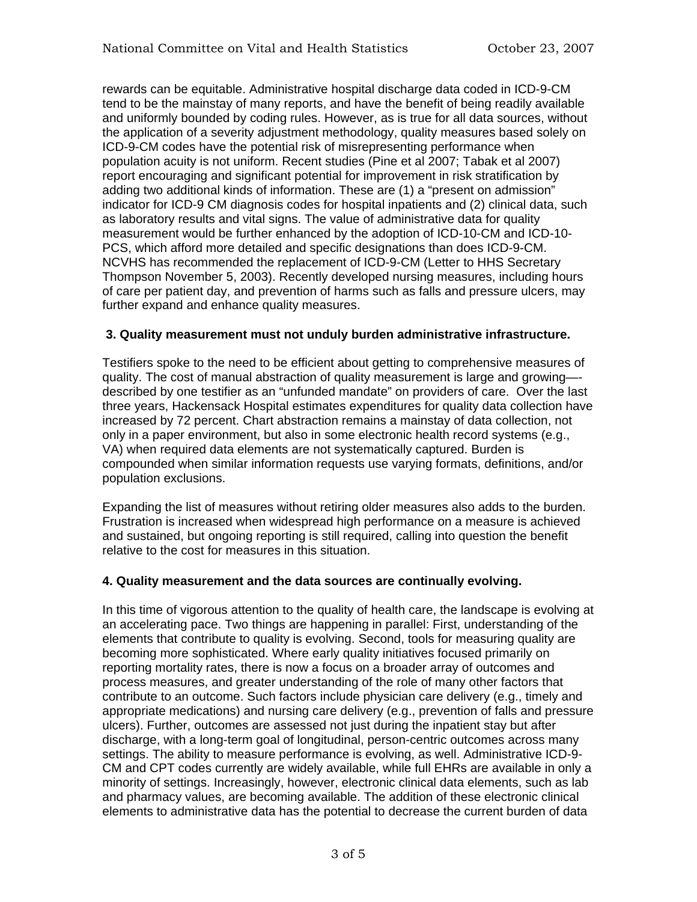rewards can be equitable. Administrative hospital discharge data coded in ICD-9-CM tend to be the mainstay of many reports, and have the benefit of being readily available and uniformly bounded by coding rules. However, as is true for all data sources, without the application of a severity adjustment methodology, quality measures based solely on ICD-9-CM codes have the potential risk of misrepresenting performance when population acuity is not uniform. Recent studies (Pine et al 2007; Tabak et al 2007) report encouraging and significant potential for improvement in risk stratification by adding two additional kinds of information. These are (1) a "present on admission" indicator for ICD-9 CM diagnosis codes for hospital inpatients and (2) clinical data, such as laboratory results and vital signs. The value of administrative data for quality measurement would be further enhanced by the adoption of ICD-10-CM and ICD-10- PCS, which afford more detailed and specific designations than does ICD-9-CM. NCVHS has recommended the replacement of ICD-9-CM (Letter to HHS Secretary Thompson November 5, 2003). Recently developed nursing measures, including hours of care per patient day, and prevention of harms such as falls and pressure ulcers, may further expand and enhance quality measures.

### **3. Quality measurement must not unduly burden administrative infrastructure.**

Testifiers spoke to the need to be efficient about getting to comprehensive measures of quality. The cost of manual abstraction of quality measurement is large and growing— described by one testifier as an "unfunded mandate" on providers of care. Over the last three years, Hackensack Hospital estimates expenditures for quality data collection have increased by 72 percent. Chart abstraction remains a mainstay of data collection, not only in a paper environment, but also in some electronic health record systems (e.g., VA) when required data elements are not systematically captured. Burden is compounded when similar information requests use varying formats, definitions, and/or population exclusions.

Expanding the list of measures without retiring older measures also adds to the burden. Frustration is increased when widespread high performance on a measure is achieved and sustained, but ongoing reporting is still required, calling into question the benefit relative to the cost for measures in this situation.

#### **4. Quality measurement and the data sources are continually evolving.**

In this time of vigorous attention to the quality of health care, the landscape is evolving at an accelerating pace. Two things are happening in parallel: First, understanding of the elements that contribute to quality is evolving. Second, tools for measuring quality are becoming more sophisticated. Where early quality initiatives focused primarily on reporting mortality rates, there is now a focus on a broader array of outcomes and process measures, and greater understanding of the role of many other factors that contribute to an outcome. Such factors include physician care delivery (e.g., timely and appropriate medications) and nursing care delivery (e.g., prevention of falls and pressure ulcers). Further, outcomes are assessed not just during the inpatient stay but after discharge, with a long-term goal of longitudinal, person-centric outcomes across many settings. The ability to measure performance is evolving, as well. Administrative ICD-9- CM and CPT codes currently are widely available, while full EHRs are available in only a minority of settings. Increasingly, however, electronic clinical data elements, such as lab and pharmacy values, are becoming available. The addition of these electronic clinical elements to administrative data has the potential to decrease the current burden of data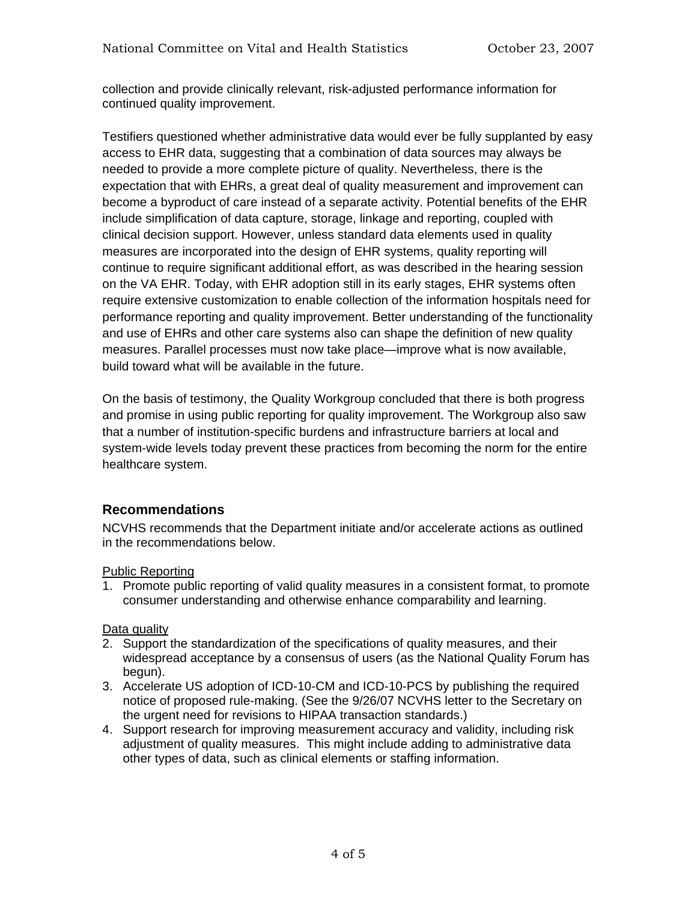collection and provide clinically relevant, risk-adjusted performance information for continued quality improvement.

Testifiers questioned whether administrative data would ever be fully supplanted by easy access to EHR data, suggesting that a combination of data sources may always be needed to provide a more complete picture of quality. Nevertheless, there is the expectation that with EHRs, a great deal of quality measurement and improvement can become a byproduct of care instead of a separate activity. Potential benefits of the EHR include simplification of data capture, storage, linkage and reporting, coupled with clinical decision support. However, unless standard data elements used in quality measures are incorporated into the design of EHR systems, quality reporting will continue to require significant additional effort, as was described in the hearing session on the VA EHR. Today, with EHR adoption still in its early stages, EHR systems often require extensive customization to enable collection of the information hospitals need for performance reporting and quality improvement. Better understanding of the functionality and use of EHRs and other care systems also can shape the definition of new quality measures. Parallel processes must now take place—improve what is now available, build toward what will be available in the future.

On the basis of testimony, the Quality Workgroup concluded that there is both progress and promise in using public reporting for quality improvement. The Workgroup also saw that a number of institution-specific burdens and infrastructure barriers at local and system-wide levels today prevent these practices from becoming the norm for the entire healthcare system.

# **Recommendations**

NCVHS recommends that the Department initiate and/or accelerate actions as outlined in the recommendations below.

#### Public Reporting

1. Promote public reporting of valid quality measures in a consistent format, to promote consumer understanding and otherwise enhance comparability and learning.

### Data quality

- 2. Support the standardization of the specifications of quality measures, and their widespread acceptance by a consensus of users (as the National Quality Forum has begun).
- 3. Accelerate US adoption of ICD-10-CM and ICD-10-PCS by publishing the required notice of proposed rule-making. (See the 9/26/07 NCVHS letter to the Secretary on the urgent need for revisions to HIPAA transaction standards.)
- 4. Support research for improving measurement accuracy and validity, including risk adjustment of quality measures. This might include adding to administrative data other types of data, such as clinical elements or staffing information.